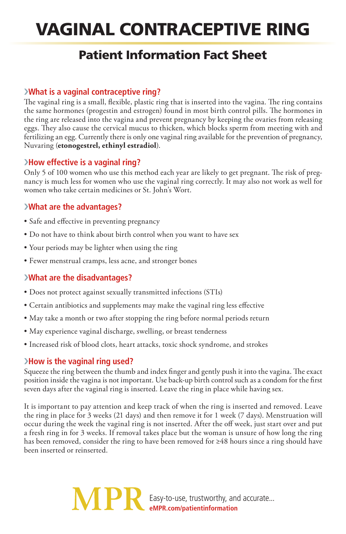# Vaginal Contraceptive Ring

## Patient Information Fact Sheet

#### ›**What is a vaginal contraceptive ring?**

The vaginal ring is a small, flexible, plastic ring that is inserted into the vagina. The ring contains the same hormones (progestin and estrogen) found in most birth control pills. The hormones in the ring are released into the vagina and prevent pregnancy by keeping the ovaries from releasing eggs. They also cause the cervical mucus to thicken, which blocks sperm from meeting with and fertilizing an egg. Currently there is only one vaginal ring available for the prevention of pregnancy, Nuvaring (**etonogestrel, ethinyl estradiol**).

#### ›**How effective is a vaginal ring?**

Only 5 of 100 women who use this method each year are likely to get pregnant. The risk of pregnancy is much less for women who use the vaginal ring correctly. It may also not work as well for women who take certain medicines or St. John's Wort.

### ›**What are the advantages?**

- Safe and effective in preventing pregnancy
- Do not have to think about birth control when you want to have sex
- Your periods may be lighter when using the ring
- Fewer menstrual cramps, less acne, and stronger bones

#### ›**What are the disadvantages?**

- Does not protect against sexually transmitted infections (STIs)
- Certain antibiotics and supplements may make the vaginal ring less effective
- May take a month or two after stopping the ring before normal periods return
- May experience vaginal discharge, swelling, or breast tenderness
- Increased risk of blood clots, heart attacks, toxic shock syndrome, and strokes

#### ›**How is the vaginal ring used?**

Squeeze the ring between the thumb and index finger and gently push it into the vagina. The exact position inside the vagina is not important. Use back-up birth control such as a condom for the first seven days after the vaginal ring is inserted. Leave the ring in place while having sex.

It is important to pay attention and keep track of when the ring is inserted and removed. Leave the ring in place for 3 weeks (21 days) and then remove it for 1 week (7 days). Menstruation will occur during the week the vaginal ring is not inserted. After the off week, just start over and put a fresh ring in for 3 weeks. If removal takes place but the woman is unsure of how long the ring has been removed, consider the ring to have been removed for ≥48 hours since a ring should have been inserted or reinserted.

> Easy-to-use, trustworthy, and accurate... **eMPR.com/patientinformation**